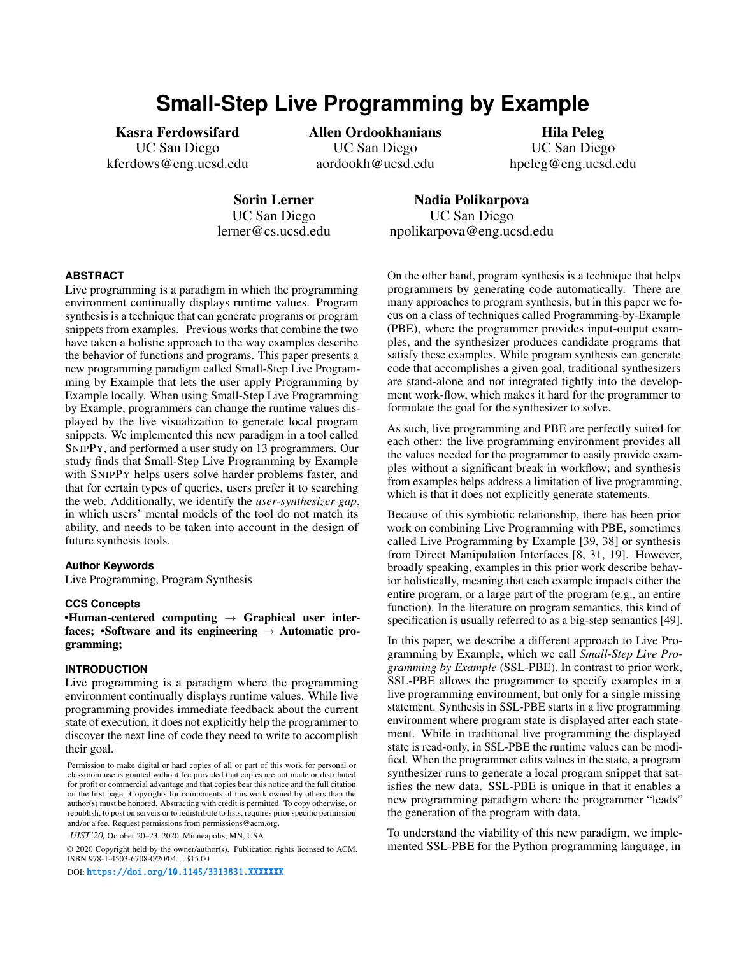# **Small-Step Live Programming by Example**

Kasra Ferdowsifard Allen Ordookhanians Hila Peleg UC San Diego UC San Diego UC San Diego kferdows@eng.ucsd.edu aordookh@ucsd.edu hpeleg@eng.ucsd.edu

Sorin Lerner UC San Diego [lerner@cs.ucsd.edu](mailto:lerner@cs.ucsd.edu)

Nadia Polikarpova UC San Diego [npolikarpova@eng.ucsd.edu](mailto:npolikarpova@eng.ucsd.edu)

### **ABSTRACT**

Live programming is a paradigm in which the programming environment continually displays runtime values. Program synthesis is a technique that can generate programs or program snippets from examples. Previous works that combine the two have taken a holistic approach to the way examples describe the behavior of functions and programs. This paper presents a new programming paradigm called Small-Step Live Programming by Example that lets the user apply Programming by Example locally. When using Small-Step Live Programming by Example, programmers can change the runtime values displayed by the live visualization to generate local program snippets. We implemented this new paradigm in a tool called SNIPPY, and performed a user study on 13 programmers. Our study fnds that Small-Step Live Programming by Example with SNIPPY helps users solve harder problems faster, and that for certain types of queries, users prefer it to searching the web. Additionally, we identify the *user-synthesizer gap*, in which users' mental models of the tool do not match its ability, and needs to be taken into account in the design of future synthesis tools.

#### **Author Keywords**

Live Programming, Program Synthesis

#### **CCS Concepts**

•Human-centered computing  $\rightarrow$  Graphical user interfaces; •Software and its engineering  $\rightarrow$  Automatic programming;

# **INTRODUCTION**

Live programming is a paradigm where the programming environment continually displays runtime values. While live programming provides immediate feedback about the current state of execution, it does not explicitly help the programmer to discover the next line of code they need to write to accomplish their goal.

*UIST'20,* October 20–23, 2020, Minneapolis, MN, USA

© 2020 Copyright held by the owner/author(s). Publication rights licensed to ACM. ISBN 978-1-4503-6708-0/20/04. . . \$15.00

DOI: <https://doi.org/10.1145/3313831.XXXXXXX>

On the other hand, program synthesis is a technique that helps programmers by generating code automatically. There are many approaches to program synthesis, but in this paper we focus on a class of techniques called Programming-by-Example (PBE), where the programmer provides input-output examples, and the synthesizer produces candidate programs that satisfy these examples. While program synthesis can generate code that accomplishes a given goal, traditional synthesizers are stand-alone and not integrated tightly into the development work-fow, which makes it hard for the programmer to formulate the goal for the synthesizer to solve.

As such, live programming and PBE are perfectly suited for each other: the live programming environment provides all the values needed for the programmer to easily provide examples without a signifcant break in workfow; and synthesis from examples helps address a limitation of live programming, which is that it does not explicitly generate statements.

Because of this symbiotic relationship, there has been prior work on combining Live Programming with PBE, sometimes called Live Programming by Example [\[39,](#page-12-0) [38\]](#page-12-1) or synthesis from Direct Manipulation Interfaces [\[8,](#page-10-0) [31,](#page-11-0) [19\]](#page-11-1). However, broadly speaking, examples in this prior work describe behavior holistically, meaning that each example impacts either the entire program, or a large part of the program (e.g., an entire function). In the literature on program semantics, this kind of specifcation is usually referred to as a big-step semantics [\[49\]](#page-12-2).

In this paper, we describe a different approach to Live Programming by Example, which we call *Small-Step Live Programming by Example* (SSL-PBE). In contrast to prior work, SSL-PBE allows the programmer to specify examples in a live programming environment, but only for a single missing statement. Synthesis in SSL-PBE starts in a live programming environment where program state is displayed after each statement. While in traditional live programming the displayed state is read-only, in SSL-PBE the runtime values can be modifed. When the programmer edits values in the state, a program synthesizer runs to generate a local program snippet that satisfes the new data. SSL-PBE is unique in that it enables a new programming paradigm where the programmer "leads" the generation of the program with data.

To understand the viability of this new paradigm, we implemented SSL-PBE for the Python programming language, in

Permission to make digital or hard copies of all or part of this work for personal or classroom use is granted without fee provided that copies are not made or distributed for proft or commercial advantage and that copies bear this notice and the full citation on the frst page. Copyrights for components of this work owned by others than the author(s) must be honored. Abstracting with credit is permitted. To copy otherwise, or republish, to post on servers or to redistribute to lists, requires prior specifc permission and/or a fee. Request permissions from [permissions@acm.org](mailto:permissions@acm.org).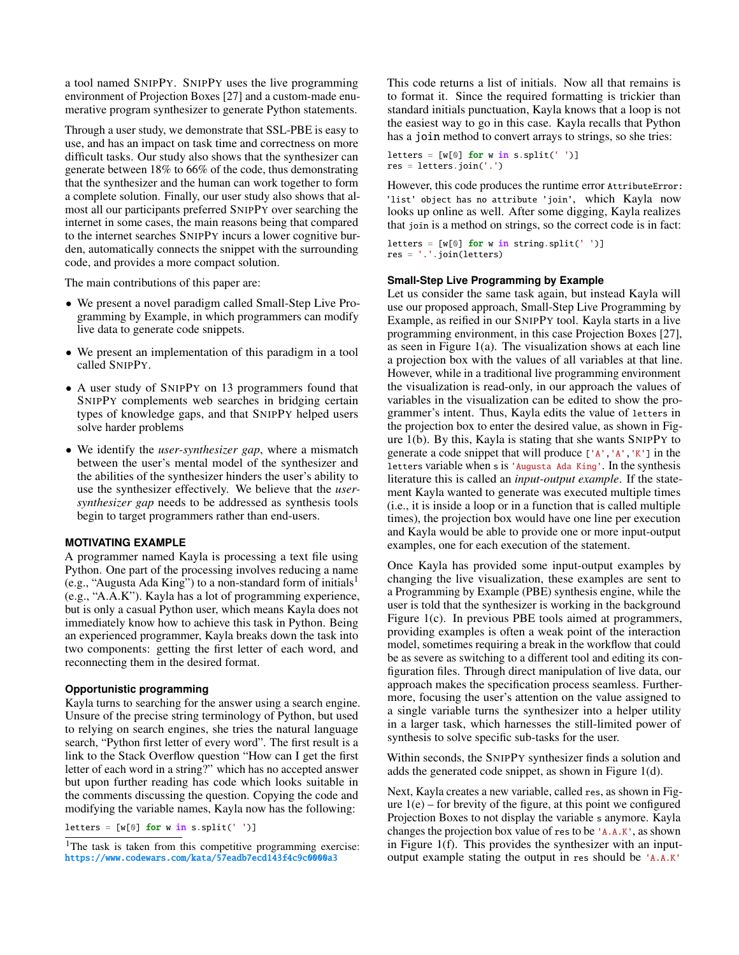a tool named SNIPPY. SNIPPY uses the live programming environment of Projection Boxes [\[27\]](#page-11-2) and a custom-made enumerative program synthesizer to generate Python statements.

Through a user study, we demonstrate that SSL-PBE is easy to use, and has an impact on task time and correctness on more diffcult tasks. Our study also shows that the synthesizer can generate between 18% to 66% of the code, thus demonstrating that the synthesizer and the human can work together to form a complete solution. Finally, our user study also shows that almost all our participants preferred SNIPPY over searching the internet in some cases, the main reasons being that compared to the internet searches SNIPPY incurs a lower cognitive burden, automatically connects the snippet with the surrounding code, and provides a more compact solution.

The main contributions of this paper are:

- We present a novel paradigm called Small-Step Live Programming by Example, in which programmers can modify live data to generate code snippets.
- We present an implementation of this paradigm in a tool called SNIPPY.
- A user study of SNIPPY on 13 programmers found that SNIPPY complements web searches in bridging certain types of knowledge gaps, and that SNIPPY helped users solve harder problems
- We identify the *user-synthesizer gap*, where a mismatch between the user's mental model of the synthesizer and the abilities of the synthesizer hinders the user's ability to use the synthesizer effectively. We believe that the *usersynthesizer gap* needs to be addressed as synthesis tools begin to target programmers rather than end-users.

### **MOTIVATING EXAMPLE**

A programmer named Kayla is processing a text fle using Python. One part of the processing involves reducing a name (e.g., "Augusta Ada King") to a non-standard form of initial[s1](#page-1-0)  (e.g., "A.A.K"). Kayla has a lot of programming experience, but is only a casual Python user, which means Kayla does not immediately know how to achieve this task in Python. Being an experienced programmer, Kayla breaks down the task into two components: getting the frst letter of each word, and reconnecting them in the desired format.

### **Opportunistic programming**

Kayla turns to searching for the answer using a search engine. Unsure of the precise string terminology of Python, but used to relying on search engines, she tries the natural language search, "Python frst letter of every word". The frst result is a link to the Stack Overflow question "How can I get the first letter of each word in a string?" which has no accepted answer but upon further reading has code which looks suitable in the comments discussing the question. Copying the code and modifying the variable names, Kayla now has the following:

letters =  $[w[0]$  for w in s.split('')]

This code returns a list of initials. Now all that remains is to format it. Since the required formatting is trickier than standard initials punctuation, Kayla knows that a loop is not the easiest way to go in this case. Kayla recalls that Python has a join method to convert arrays to strings, so she tries:

letters =  $[w[0]$  for w in s.split('')] res = letters.join('.')

However, this code produces the runtime error AttributeError: 'list' object has no attribute 'join', which Kayla now looks up online as well. After some digging, Kayla realizes that join is a method on strings, so the correct code is in fact:

letters =  $[w[0]$  for w in string.split('')] res = '.'.join(letters)

#### **Small-Step Live Programming by Example**

Let us consider the same task again, but instead Kayla will use our proposed approach, Small-Step Live Programming by Example, as reifed in our SNIPPY tool. Kayla starts in a live programming environment, in this case Projection Boxes [\[27\]](#page-11-2), as seen in Figure [1\(](#page-2-0)a). The visualization shows at each line a projection box with the values of all variables at that line. However, while in a traditional live programming environment the visualization is read-only, in our approach the values of variables in the visualization can be edited to show the programmer's intent. Thus, Kayla edits the value of letters in the projection box to enter the desired value, as shown in Figure [1\(](#page-2-0)b). By this, Kayla is stating that she wants SNIPPY to generate a code snippet that will produce ['A','A','K'] in the letters variable when s is 'Augusta Ada King'. In the synthesis literature this is called an *input-output example*. If the statement Kayla wanted to generate was executed multiple times (i.e., it is inside a loop or in a function that is called multiple times), the projection box would have one line per execution and Kayla would be able to provide one or more input-output examples, one for each execution of the statement.

Once Kayla has provided some input-output examples by changing the live visualization, these examples are sent to a Programming by Example (PBE) synthesis engine, while the user is told that the synthesizer is working in the background Figure [1\(](#page-2-0)c). In previous PBE tools aimed at programmers, providing examples is often a weak point of the interaction model, sometimes requiring a break in the workfow that could be as severe as switching to a different tool and editing its confguration fles. Through direct manipulation of live data, our approach makes the specifcation process seamless. Furthermore, focusing the user's attention on the value assigned to a single variable turns the synthesizer into a helper utility in a larger task, which harnesses the still-limited power of synthesis to solve specifc sub-tasks for the user.

Within seconds, the SNIPPY synthesizer fnds a solution and adds the generated code snippet, as shown in Figure [1\(](#page-2-0)d).

Next, Kayla creates a new variable, called res, as shown in Figure  $1(e)$  – for brevity of the figure, at this point we configured Projection Boxes to not display the variable s anymore. Kayla changes the projection box value of res to be 'A.A.K', as shown in Figure [1\(](#page-2-0)f). This provides the synthesizer with an inputoutput example stating the output in res should be 'A.A.K'

<span id="page-1-0"></span><sup>&</sup>lt;sup>1</sup>The task is taken from this competitive programming exercise: <https://www.codewars.com/kata/57eadb7ecd143f4c9c0000a3>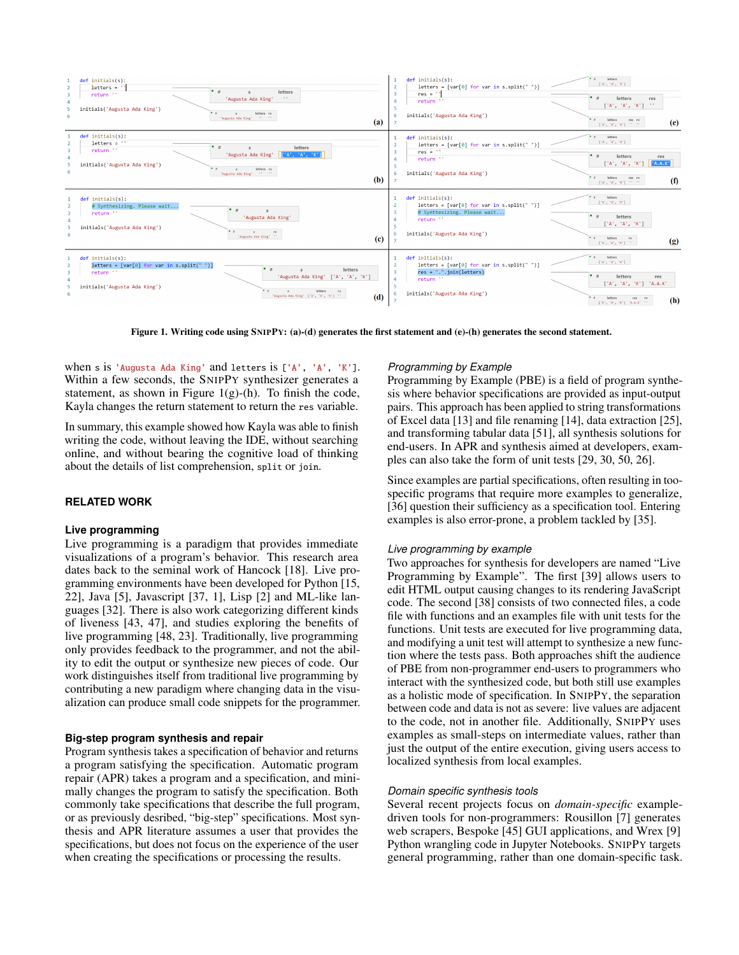

<span id="page-2-0"></span>Figure 1. Writing code using SNIPPY: (a)-(d) generates the frst statement and (e)-(h) generates the second statement.

when s is 'Augusta Ada King' and letters is ['A', 'A', 'K']. Within a few seconds, the SNIPPY synthesizer generates a statement, as shown in Figure [1\(](#page-2-0)g)-(h). To finish the code, Kayla changes the return statement to return the res variable.

In summary, this example showed how Kayla was able to fnish writing the code, without leaving the IDE, without searching online, and without bearing the cognitive load of thinking about the details of list comprehension, split or join.

#### **RELATED WORK**

#### **Live programming**

Live programming is a paradigm that provides immediate visualizations of a program's behavior. This research area dates back to the seminal work of Hancock [\[18\]](#page-11-3). Live programming environments have been developed for Python [\[15,](#page-11-4) [22\]](#page-11-5), Java [\[5\]](#page-10-1), Javascript [\[37,](#page-12-3) [1\]](#page-10-2), Lisp [\[2\]](#page-10-3) and ML-like languages [\[32\]](#page-12-4). There is also work categorizing different kinds of liveness [\[43,](#page-12-5) [47\]](#page-12-6), and studies exploring the benefts of live programming [\[48,](#page-12-7) [23\]](#page-11-6). Traditionally, live programming only provides feedback to the programmer, and not the ability to edit the output or synthesize new pieces of code. Our work distinguishes itself from traditional live programming by contributing a new paradigm where changing data in the visualization can produce small code snippets for the programmer.

#### **Big-step program synthesis and repair**

Program synthesis takes a specifcation of behavior and returns a program satisfying the specifcation. Automatic program repair (APR) takes a program and a specifcation, and minimally changes the program to satisfy the specifcation. Both commonly take specifcations that describe the full program, or as previously desribed, "big-step" specifcations. Most synthesis and APR literature assumes a user that provides the specifcations, but does not focus on the experience of the user when creating the specifcations or processing the results.

#### *Programming by Example*

Programming by Example (PBE) is a feld of program synthesis where behavior specifcations are provided as input-output pairs. This approach has been applied to string transformations of Excel data [\[13\]](#page-11-7) and fle renaming [\[14\]](#page-11-8), data extraction [\[25\]](#page-11-9), and transforming tabular data [\[51\]](#page-12-8), all synthesis solutions for end-users. In APR and synthesis aimed at developers, examples can also take the form of unit tests [\[29,](#page-11-10) [30,](#page-11-11) [50,](#page-12-9) [26\]](#page-11-12).

Since examples are partial specifcations, often resulting in toospecifc programs that require more examples to generalize, [\[36\]](#page-12-10) question their sufficiency as a specification tool. Entering examples is also error-prone, a problem tackled by [\[35\]](#page-12-11).

#### *Live programming by example*

Two approaches for synthesis for developers are named "Live Programming by Example". The frst [\[39\]](#page-12-0) allows users to edit HTML output causing changes to its rendering JavaScript code. The second [\[38\]](#page-12-1) consists of two connected fles, a code fle with functions and an examples fle with unit tests for the functions. Unit tests are executed for live programming data, and modifying a unit test will attempt to synthesize a new function where the tests pass. Both approaches shift the audience of PBE from non-programmer end-users to programmers who interact with the synthesized code, but both still use examples as a holistic mode of specifcation. In SNIPPY, the separation between code and data is not as severe: live values are adjacent to the code, not in another fle. Additionally, SNIPPY uses examples as small-steps on intermediate values, rather than just the output of the entire execution, giving users access to localized synthesis from local examples.

#### *Domain specifc synthesis tools*

Several recent projects focus on *domain-specifc* exampledriven tools for non-programmers: Rousillon [\[7\]](#page-10-4) generates web scrapers, Bespoke [\[45\]](#page-12-12) GUI applications, and Wrex [\[9\]](#page-10-5) Python wrangling code in Jupyter Notebooks. SNIPPY targets general programming, rather than one domain-specifc task.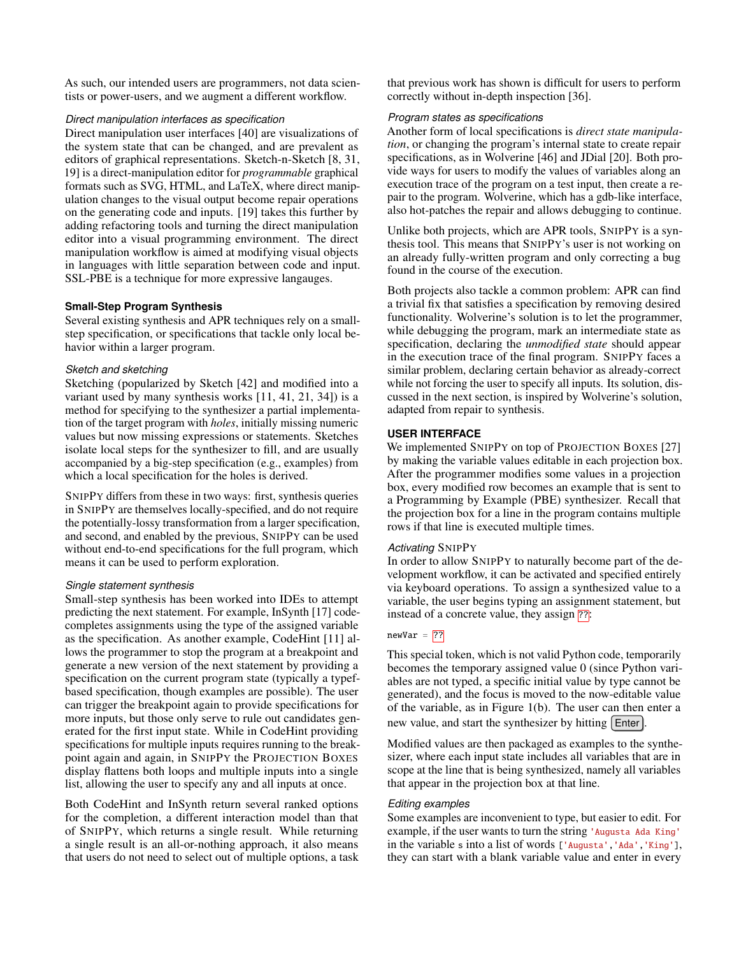As such, our intended users are programmers, not data scientists or power-users, and we augment a different workflow.

### *Direct manipulation interfaces as specifcation*

Direct manipulation user interfaces [\[40\]](#page-12-13) are visualizations of the system state that can be changed, and are prevalent as editors of graphical representations. Sketch-n-Sketch [\[8,](#page-10-0) [31,](#page-11-0) [19\]](#page-11-1) is a direct-manipulation editor for *programmable* graphical formats such as SVG, HTML, and LaTeX, where direct manipulation changes to the visual output become repair operations on the generating code and inputs. [\[19\]](#page-11-1) takes this further by adding refactoring tools and turning the direct manipulation editor into a visual programming environment. The direct manipulation workfow is aimed at modifying visual objects in languages with little separation between code and input. SSL-PBE is a technique for more expressive langauges.

# **Small-Step Program Synthesis**

Several existing synthesis and APR techniques rely on a smallstep specifcation, or specifcations that tackle only local behavior within a larger program.

# *Sketch and sketching*

Sketching (popularized by Sketch [\[42\]](#page-12-14) and modifed into a variant used by many synthesis works [\[11,](#page-11-13) [41,](#page-12-15) [21,](#page-11-14) [34\]](#page-12-16)) is a method for specifying to the synthesizer a partial implementation of the target program with *holes*, initially missing numeric values but now missing expressions or statements. Sketches isolate local steps for the synthesizer to fll, and are usually accompanied by a big-step specifcation (e.g., examples) from which a local specifcation for the holes is derived.

SNIPPY differs from these in two ways: frst, synthesis queries in SNIPPY are themselves locally-specifed, and do not require the potentially-lossy transformation from a larger specifcation, and second, and enabled by the previous, SNIPPY can be used without end-to-end specifcations for the full program, which means it can be used to perform exploration.

# *Single statement synthesis*

Small-step synthesis has been worked into IDEs to attempt predicting the next statement. For example, InSynth [\[17\]](#page-11-15) codecompletes assignments using the type of the assigned variable as the specifcation. As another example, CodeHint [\[11\]](#page-11-13) allows the programmer to stop the program at a breakpoint and generate a new version of the next statement by providing a specification on the current program state (typically a typefbased specifcation, though examples are possible). The user can trigger the breakpoint again to provide specifcations for more inputs, but those only serve to rule out candidates generated for the frst input state. While in CodeHint providing specifcations for multiple inputs requires running to the breakpoint again and again, in SNIPPY the PROJECTION BOXES display fattens both loops and multiple inputs into a single list, allowing the user to specify any and all inputs at once.

Both CodeHint and InSynth return several ranked options for the completion, a different interaction model than that of SNIPPY, which returns a single result. While returning a single result is an all-or-nothing approach, it also means that users do not need to select out of multiple options, a task

that previous work has shown is diffcult for users to perform correctly without in-depth inspection [\[36\]](#page-12-10).

### *Program states as specifcations*

Another form of local specifcations is *direct state manipulation*, or changing the program's internal state to create repair specifications, as in Wolverine [\[46\]](#page-12-17) and JDial [\[20\]](#page-11-16). Both provide ways for users to modify the values of variables along an execution trace of the program on a test input, then create a repair to the program. Wolverine, which has a gdb-like interface, also hot-patches the repair and allows debugging to continue.

Unlike both projects, which are APR tools, SNIPPY is a synthesis tool. This means that SNIPPY's user is not working on an already fully-written program and only correcting a bug found in the course of the execution.

Both projects also tackle a common problem: APR can fnd a trivial fx that satisfes a specifcation by removing desired functionality. Wolverine's solution is to let the programmer, while debugging the program, mark an intermediate state as specifcation, declaring the *unmodifed state* should appear in the execution trace of the fnal program. SNIPPY faces a similar problem, declaring certain behavior as already-correct while not forcing the user to specify all inputs. Its solution, discussed in the next section, is inspired by Wolverine's solution, adapted from repair to synthesis.

# **USER INTERFACE**

We implemented SNIPPY on top of PROJECTION BOXES [\[27\]](#page-11-2) by making the variable values editable in each projection box. After the programmer modifes some values in a projection box, every modifed row becomes an example that is sent to a Programming by Example (PBE) synthesizer. Recall that the projection box for a line in the program contains multiple rows if that line is executed multiple times.

# *Activating* SNIPPY

In order to allow SNIPPY to naturally become part of the development workfow, it can be activated and specifed entirely via keyboard operations. To assign a synthesized value to a variable, the user begins typing an assignment statement, but instead of a concrete value, they assign ??.

# $newVar = |??|$

This special token, which is not valid Python code, temporarily becomes the temporary assigned value 0 (since Python variables are not typed, a specifc initial value by type cannot be generated), and the focus is moved to the now-editable value of the variable, as in Figure [1\(](#page-2-0)b). The user can then enter a new value, and start the synthesizer by hitting  $[Enter]$ 

Modifed values are then packaged as examples to the synthesizer, where each input state includes all variables that are in scope at the line that is being synthesized, namely all variables that appear in the projection box at that line.

#### *Editing examples*

Some examples are inconvenient to type, but easier to edit. For example, if the user wants to turn the string 'Augusta Ada King' in the variable s into a list of words ['Augusta','Ada','King'], they can start with a blank variable value and enter in every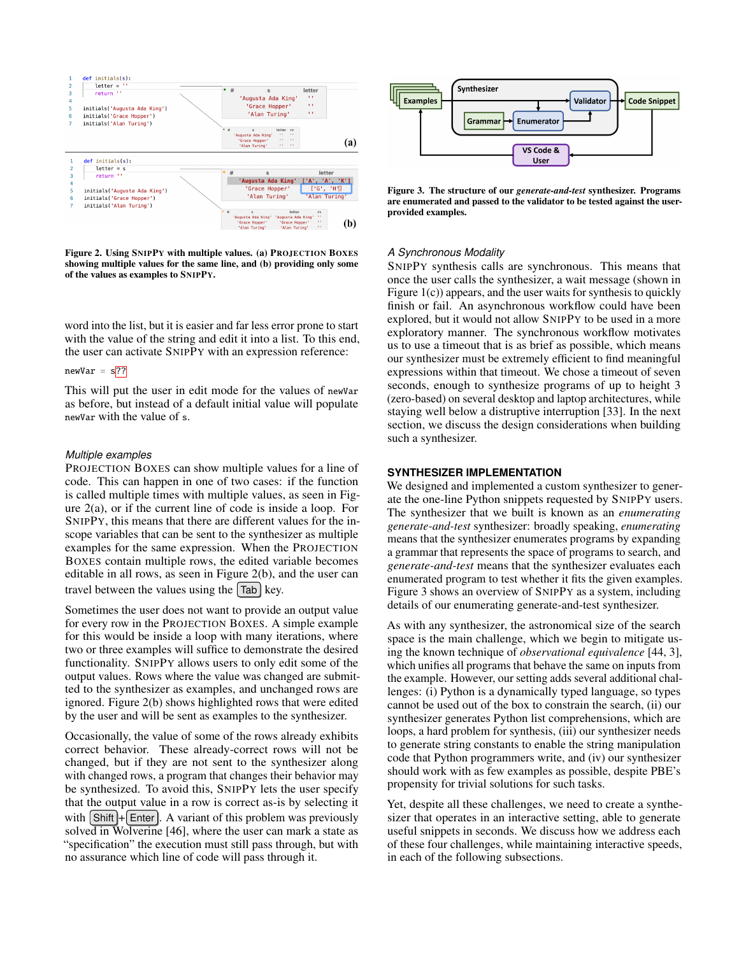

<span id="page-4-0"></span>Figure 2. Using SNIPPY with multiple values. (a) PROJECTION BOXES showing multiple values for the same line, and (b) providing only some of the values as examples to SNIPPY.

word into the list, but it is easier and far less error prone to start with the value of the string and edit it into a list. To this end, the user can activate SNIPPY with an expression reference:

#### $newVar = s$ ??

This will put the user in edit mode for the values of newVar as before, but instead of a default initial value will populate newVar with the value of s.

#### *Multiple examples*

PROJECTION BOXES can show multiple values for a line of code. This can happen in one of two cases: if the function is called multiple times with multiple values, as seen in Figure [2\(](#page-4-0)a), or if the current line of code is inside a loop. For SNIPPY, this means that there are different values for the inscope variables that can be sent to the synthesizer as multiple examples for the same expression. When the PROJECTION BOXES contain multiple rows, the edited variable becomes editable in all rows, as seen in Figure [2\(](#page-4-0)b), and the user can travel between the values using the  $\lceil$ Tab $\rceil$  key.

Sometimes the user does not want to provide an output value for every row in the PROJECTION BOXES. A simple example for this would be inside a loop with many iterations, where two or three examples will suffice to demonstrate the desired functionality. SNIPPY allows users to only edit some of the output values. Rows where the value was changed are submitted to the synthesizer as examples, and unchanged rows are ignored. Figure [2\(](#page-4-0)b) shows highlighted rows that were edited by the user and will be sent as examples to the synthesizer.

Occasionally, the value of some of the rows already exhibits correct behavior. These already-correct rows will not be changed, but if they are not sent to the synthesizer along with changed rows, a program that changes their behavior may be synthesized. To avoid this, SNIPPY lets the user specify that the output value in a row is correct as-is by selecting it with  $\sinh(\theta + \epsilon)$ . A variant of this problem was previously solved in Wolverine [\[46\]](#page-12-17), where the user can mark a state as "specifcation" the execution must still pass through, but with no assurance which line of code will pass through it.



<span id="page-4-1"></span>Figure 3. The structure of our *generate-and-test* synthesizer. Programs are enumerated and passed to the validator to be tested against the userprovided examples.

#### *A Synchronous Modality*

SNIPPY synthesis calls are synchronous. This means that once the user calls the synthesizer, a wait message (shown in Figure [1\(](#page-2-0)c)) appears, and the user waits for synthesis to quickly finish or fail. An asynchronous workflow could have been explored, but it would not allow SNIPPY to be used in a more exploratory manner. The synchronous workflow motivates us to use a timeout that is as brief as possible, which means our synthesizer must be extremely effcient to fnd meaningful expressions within that timeout. We chose a timeout of seven seconds, enough to synthesize programs of up to height 3 (zero-based) on several desktop and laptop architectures, while staying well below a distruptive interruption [\[33\]](#page-12-18). In the next section, we discuss the design considerations when building such a synthesizer.

# **SYNTHESIZER IMPLEMENTATION**

We designed and implemented a custom synthesizer to generate the one-line Python snippets requested by SNIPPY users. The synthesizer that we built is known as an *enumerating generate-and-test* synthesizer: broadly speaking, *enumerating*  means that the synthesizer enumerates programs by expanding a grammar that represents the space of programs to search, and *generate-and-test* means that the synthesizer evaluates each enumerated program to test whether it fts the given examples. Figure [3](#page-4-1) shows an overview of SNIPPY as a system, including details of our enumerating generate-and-test synthesizer.

As with any synthesizer, the astronomical size of the search space is the main challenge, which we begin to mitigate using the known technique of *observational equivalence* [\[44,](#page-12-19) [3\]](#page-10-6), which unifes all programs that behave the same on inputs from the example. However, our setting adds several additional challenges: (i) Python is a dynamically typed language, so types cannot be used out of the box to constrain the search, (ii) our synthesizer generates Python list comprehensions, which are loops, a hard problem for synthesis, (iii) our synthesizer needs to generate string constants to enable the string manipulation code that Python programmers write, and (iv) our synthesizer should work with as few examples as possible, despite PBE's propensity for trivial solutions for such tasks.

Yet, despite all these challenges, we need to create a synthesizer that operates in an interactive setting, able to generate useful snippets in seconds. We discuss how we address each of these four challenges, while maintaining interactive speeds, in each of the following subsections.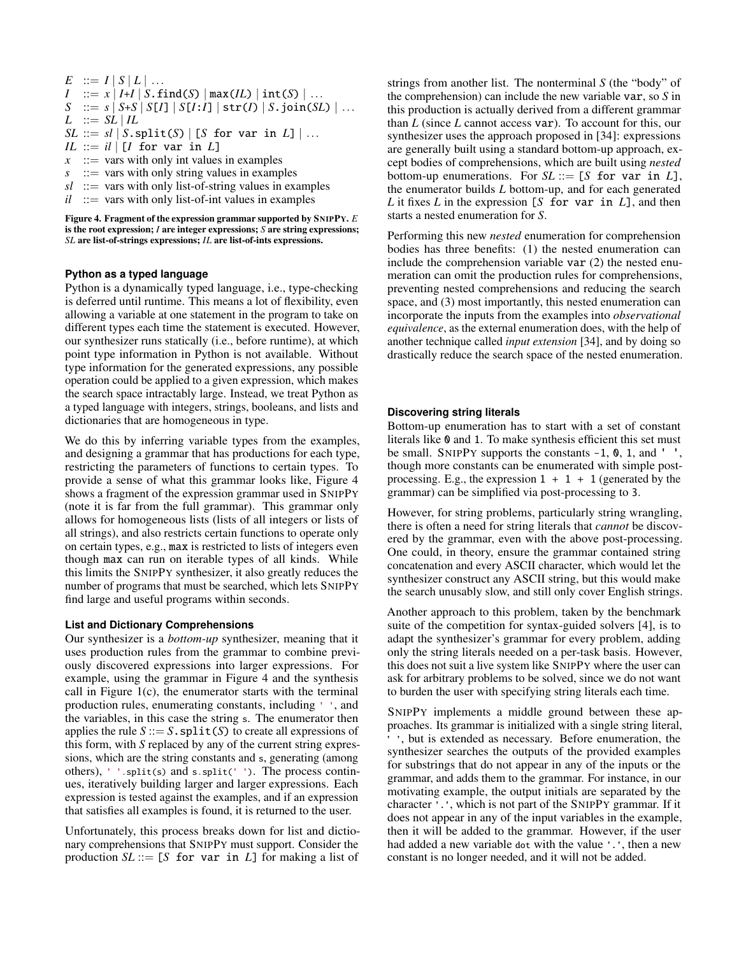- $E$  ::=  $I | S | L |$ ... *I*  $:= x | I + I | S.$  **find**(*S*)  $| max(IL) | int(S) | ...$ *S* ::=  $s | S+S | S[I] | S[I:I] | \text{str}(I) | S.join(SL) | ...$  $L$  ::=  $SL \, | \, IL$
- $SL ::= sl | S.split(S) | [S for var in L] | ...$
- $IL ::= \mathit{il} \mid [I \text{ for var in } L]$
- $x$  ::= vars with only int values in examples
- $s$   $::=$  vars with only string values in examples
- $sl$  ::= vars with only list-of-string values in examples
- $il$  ::= vars with only list-of-int values in examples

<span id="page-5-0"></span>Figure 4. Fragment of the expression grammar supported by SNIPPY. *E*  is the root expression; *I* are integer expressions; *S* are string expressions; *SL* are list-of-strings expressions; *IL* are list-of-ints expressions.

# **Python as a typed language**

Python is a dynamically typed language, i.e., type-checking is deferred until runtime. This means a lot of fexibility, even allowing a variable at one statement in the program to take on different types each time the statement is executed. However, our synthesizer runs statically (i.e., before runtime), at which point type information in Python is not available. Without type information for the generated expressions, any possible operation could be applied to a given expression, which makes the search space intractably large. Instead, we treat Python as a typed language with integers, strings, booleans, and lists and dictionaries that are homogeneous in type.

We do this by inferring variable types from the examples, and designing a grammar that has productions for each type, restricting the parameters of functions to certain types. To provide a sense of what this grammar looks like, Figure [4](#page-5-0)  shows a fragment of the expression grammar used in SNIPPY (note it is far from the full grammar). This grammar only allows for homogeneous lists (lists of all integers or lists of all strings), and also restricts certain functions to operate only on certain types, e.g., max is restricted to lists of integers even though max can run on iterable types of all kinds. While this limits the SNIPPY synthesizer, it also greatly reduces the number of programs that must be searched, which lets SNIPPY fnd large and useful programs within seconds.

# **List and Dictionary Comprehensions**

Our synthesizer is a *bottom-up* synthesizer, meaning that it uses production rules from the grammar to combine previously discovered expressions into larger expressions. For example, using the grammar in Figure [4](#page-5-0) and the synthesis call in Figure [1\(](#page-2-0)c), the enumerator starts with the terminal production rules, enumerating constants, including ' ', and the variables, in this case the string s. The enumerator then applies the rule  $S := S$ . split(*S*) to create all expressions of this form, with *S* replaced by any of the current string expressions, which are the string constants and s, generating (among others), ' '.split(s) and s.split(' '). The process continues, iteratively building larger and larger expressions. Each expression is tested against the examples, and if an expression that satisfes all examples is found, it is returned to the user.

Unfortunately, this process breaks down for list and dictionary comprehensions that SNIPPY must support. Consider the production  $SL := [S \text{ for } \text{var in } L]$  for making a list of strings from another list. The nonterminal *S* (the "body" of the comprehension) can include the new variable var, so *S* in this production is actually derived from a different grammar than *L* (since *L* cannot access var). To account for this, our synthesizer uses the approach proposed in [\[34\]](#page-12-16): expressions are generally built using a standard bottom-up approach, except bodies of comprehensions, which are built using *nested*  bottom-up enumerations. For  $SL := [S]$  for var in  $L$ ], the enumerator builds *L* bottom-up, and for each generated *L* it fxes *L* in the expression [*S* for var in *L*], and then starts a nested enumeration for *S*.

Performing this new *nested* enumeration for comprehension bodies has three benefts: (1) the nested enumeration can include the comprehension variable var (2) the nested enumeration can omit the production rules for comprehensions, preventing nested comprehensions and reducing the search space, and (3) most importantly, this nested enumeration can incorporate the inputs from the examples into *observational equivalence*, as the external enumeration does, with the help of another technique called *input extension* [\[34\]](#page-12-16), and by doing so drastically reduce the search space of the nested enumeration.

### **Discovering string literals**

Bottom-up enumeration has to start with a set of constant literals like 0 and 1. To make synthesis efficient this set must be small. SNIPPY supports the constants  $-1$ , 0, 1, and '', though more constants can be enumerated with simple postprocessing. E.g., the expression  $1 + 1 + 1$  (generated by the grammar) can be simplifed via post-processing to 3.

However, for string problems, particularly string wrangling, there is often a need for string literals that *cannot* be discovered by the grammar, even with the above post-processing. One could, in theory, ensure the grammar contained string concatenation and every ASCII character, which would let the synthesizer construct any ASCII string, but this would make the search unusably slow, and still only cover English strings.

Another approach to this problem, taken by the benchmark suite of the competition for syntax-guided solvers [\[4\]](#page-10-7), is to adapt the synthesizer's grammar for every problem, adding only the string literals needed on a per-task basis. However, this does not suit a live system like SNIPPY where the user can ask for arbitrary problems to be solved, since we do not want to burden the user with specifying string literals each time.

SNIPPY implements a middle ground between these approaches. Its grammar is initialized with a single string literal, ' ', but is extended as necessary. Before enumeration, the synthesizer searches the outputs of the provided examples for substrings that do not appear in any of the inputs or the grammar, and adds them to the grammar. For instance, in our motivating example, the output initials are separated by the character '.', which is not part of the SNIPPY grammar. If it does not appear in any of the input variables in the example, then it will be added to the grammar. However, if the user had added a new variable dot with the value '.', then a new constant is no longer needed, and it will not be added.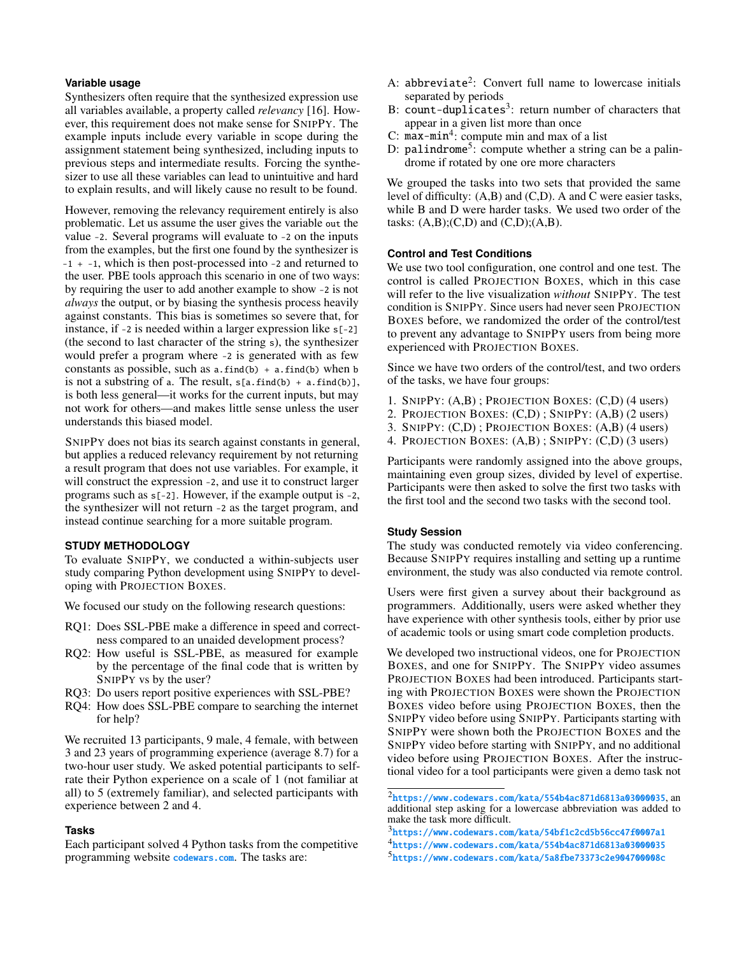# **Variable usage**

Synthesizers often require that the synthesized expression use all variables available, a property called *relevancy* [\[16\]](#page-11-17). However, this requirement does not make sense for SNIPPY. The example inputs include every variable in scope during the assignment statement being synthesized, including inputs to previous steps and intermediate results. Forcing the synthesizer to use all these variables can lead to unintuitive and hard to explain results, and will likely cause no result to be found.

However, removing the relevancy requirement entirely is also problematic. Let us assume the user gives the variable out the value -2. Several programs will evaluate to -2 on the inputs from the examples, but the frst one found by the synthesizer is -1 + -1, which is then post-processed into -2 and returned to the user. PBE tools approach this scenario in one of two ways: by requiring the user to add another example to show -2 is not *always* the output, or by biasing the synthesis process heavily against constants. This bias is sometimes so severe that, for instance, if -2 is needed within a larger expression like s[-2] (the second to last character of the string s), the synthesizer would prefer a program where -2 is generated with as few constants as possible, such as  $a$ . find(b) +  $a$ . find(b) when  $b$ is not a substring of a. The result,  $s[a.find(b) + a.find(b)],$ is both less general—it works for the current inputs, but may not work for others—and makes little sense unless the user understands this biased model.

SNIPPY does not bias its search against constants in general, but applies a reduced relevancy requirement by not returning a result program that does not use variables. For example, it will construct the expression -2, and use it to construct larger programs such as s[-2]. However, if the example output is -2, the synthesizer will not return -2 as the target program, and instead continue searching for a more suitable program.

### **STUDY METHODOLOGY**

To evaluate SNIPPY, we conducted a within-subjects user study comparing Python development using SNIPPY to developing with PROJECTION BOXES.

We focused our study on the following research questions:

- RQ1: Does SSL-PBE make a difference in speed and correctness compared to an unaided development process?
- RQ2: How useful is SSL-PBE, as measured for example by the percentage of the fnal code that is written by SNIPPY vs by the user?
- RQ3: Do users report positive experiences with SSL-PBE?
- RQ4: How does SSL-PBE compare to searching the internet for help?

We recruited 13 participants, 9 male, 4 female, with between 3 and 23 years of programming experience (average 8.7) for a two-hour user study. We asked potential participants to selfrate their Python experience on a scale of 1 (not familiar at all) to 5 (extremely familiar), and selected participants with experience between 2 and 4.

#### **Tasks**

Each participant solved 4 Python tasks from the competitive programming website <codewars.com>. The tasks are:

- A: abbreviate<sup>2</sup>: Convert full name to lowercase initials separated by periods
- B: count-duplicates<sup>3</sup>: return number of characters that appear in a given list more than once
- C:  $max-min<sup>4</sup>$ : compute min and max of a list
- D: palindrome<sup>5</sup>: compute whether a string can be a palindrome if rotated by one ore more characters

We grouped the tasks into two sets that provided the same level of diffculty: (A,B) and (C,D). A and C were easier tasks, while B and D were harder tasks. We used two order of the tasks:  $(A,B)$ ; $(C,D)$  and  $(C,D)$ ; $(A,B)$ .

### **Control and Test Conditions**

We use two tool configuration, one control and one test. The control is called PROJECTION BOXES, which in this case will refer to the live visualization *without* SNIPPY. The test condition is SNIPPY. Since users had never seen PROJECTION BOXES before, we randomized the order of the control/test to prevent any advantage to SNIPPY users from being more experienced with PROJECTION BOXES.

Since we have two orders of the control/test, and two orders of the tasks, we have four groups:

- 1. SNIPPY: (A,B) ; PROJECTION BOXES: (C,D) (4 users)
- 2. PROJECTION BOXES: (C,D) ; SNIPPY: (A,B) (2 users)
- 3. SNIPPY: (C,D) ; PROJECTION BOXES: (A,B) (4 users)
- 4. PROJECTION BOXES: (A,B) ; SNIPPY: (C,D) (3 users)

Participants were randomly assigned into the above groups, maintaining even group sizes, divided by level of expertise. Participants were then asked to solve the frst two tasks with the frst tool and the second two tasks with the second tool.

### **Study Session**

The study was conducted remotely via video conferencing. Because SNIPPY requires installing and setting up a runtime environment, the study was also conducted via remote control.

Users were frst given a survey about their background as programmers. Additionally, users were asked whether they have experience with other synthesis tools, either by prior use of academic tools or using smart code completion products.

We developed two instructional videos, one for PROJECTION BOXES, and one for SNIPPY. The SNIPPY video assumes PROJECTION BOXES had been introduced. Participants starting with PROJECTION BOXES were shown the PROJECTION BOXES video before using PROJECTION BOXES, then the SNIPPY video before using SNIPPY. Participants starting with SNIPPY were shown both the PROJECTION BOXES and the SNIPPY video before starting with SNIPPY, and no additional video before using PROJECTION BOXES. After the instructional video for a tool participants were given a demo task not

<span id="page-6-0"></span><sup>2</sup><https://www.codewars.com/kata/554b4ac871d6813a03000035>, an additional step asking for a lowercase abbreviation was added to make the task more difficult.

<span id="page-6-3"></span><span id="page-6-2"></span><span id="page-6-1"></span><sup>3</sup><https://www.codewars.com/kata/54bf1c2cd5b56cc47f0007a1> <sup>4</sup><https://www.codewars.com/kata/554b4ac871d6813a03000035> <sup>5</sup><https://www.codewars.com/kata/5a8fbe73373c2e904700008c>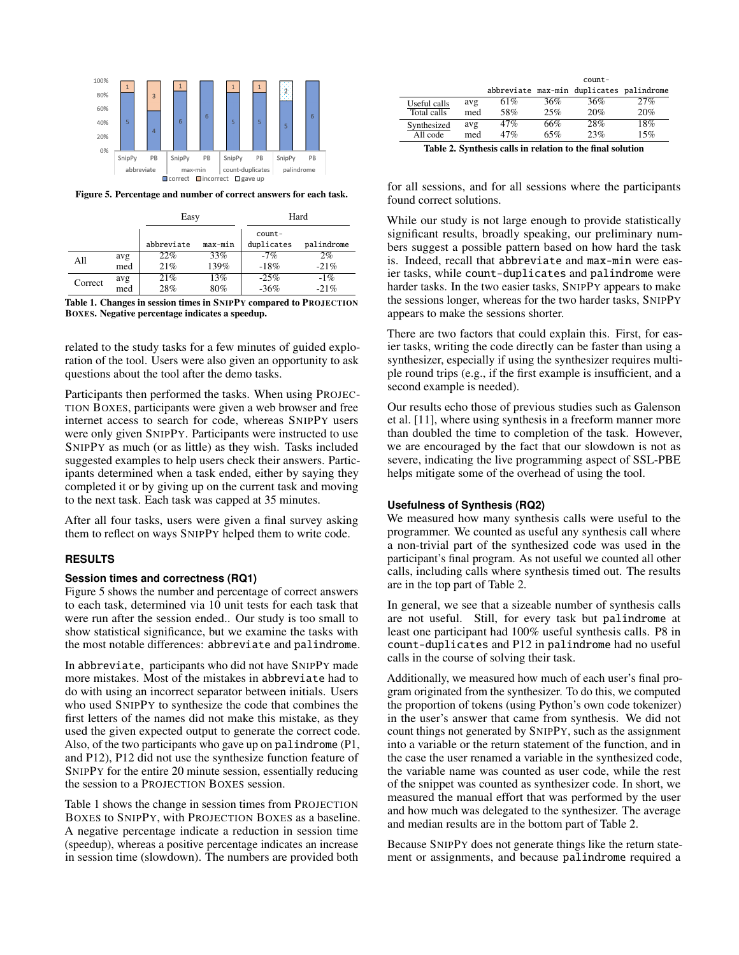

<span id="page-7-0"></span>Figure 5. Percentage and number of correct answers for each task.

|         |     | Easy       |         | Hard       |            |  |
|---------|-----|------------|---------|------------|------------|--|
|         |     |            |         | count-     |            |  |
|         |     | abbreviate | max-min | duplicates | palindrome |  |
| All     | avg | 22%        | 33%     | $-7%$      | 2%         |  |
|         | med | 21%        | 139%    | $-18%$     | $-21%$     |  |
| Correct | avg | 21%        | 13%     | $-25%$     | $-1\%$     |  |
|         | med | 28%        | 80%     | $-36%$     | $-21%$     |  |

<span id="page-7-1"></span>Table 1. Changes in session times in SNIPPY compared to PROJECTION BOXES. Negative percentage indicates a speedup.

related to the study tasks for a few minutes of guided exploration of the tool. Users were also given an opportunity to ask questions about the tool after the demo tasks.

Participants then performed the tasks. When using PROJEC-TION BOXES, participants were given a web browser and free internet access to search for code, whereas SNIPPY users were only given SNIPPY. Participants were instructed to use SNIPPY as much (or as little) as they wish. Tasks included suggested examples to help users check their answers. Participants determined when a task ended, either by saying they completed it or by giving up on the current task and moving to the next task. Each task was capped at 35 minutes.

After all four tasks, users were given a fnal survey asking them to refect on ways SNIPPY helped them to write code.

#### **RESULTS**

#### **Session times and correctness (RQ1)**

Figure [5](#page-7-0) shows the number and percentage of correct answers to each task, determined via 10 unit tests for each task that were run after the session ended.. Our study is too small to show statistical signifcance, but we examine the tasks with the most notable differences: abbreviate and palindrome.

In abbreviate, participants who did not have SNIPPY made more mistakes. Most of the mistakes in abbreviate had to do with using an incorrect separator between initials. Users who used SNIPPY to synthesize the code that combines the frst letters of the names did not make this mistake, as they used the given expected output to generate the correct code. Also, of the two participants who gave up on palindrome (P1, and P12), P12 did not use the synthesize function feature of SNIPPY for the entire 20 minute session, essentially reducing the session to a PROJECTION BOXES session.

Table [1](#page-7-1) shows the change in session times from PROJECTION BOXES to SNIPPY, with PROJECTION BOXES as a baseline. A negative percentage indicate a reduction in session time (speedup), whereas a positive percentage indicates an increase in session time (slowdown). The numbers are provided both

|              |     |     |     | $count-$                                 |     |
|--------------|-----|-----|-----|------------------------------------------|-----|
|              |     |     |     | abbreviate max-min duplicates palindrome |     |
| Useful calls | avg | 61% | 36% | 36%                                      | 27% |
| Total calls  | med | 58% | 25% | 20%                                      | 20% |
| Synthesized  | avg | 47% | 66% | 28%                                      | 18% |
| All code     | med | 47% | 65% | 23%                                      | 15% |

<span id="page-7-2"></span>Table 2. Synthesis calls in relation to the fnal solution

for all sessions, and for all sessions where the participants found correct solutions.

While our study is not large enough to provide statistically signifcant results, broadly speaking, our preliminary numbers suggest a possible pattern based on how hard the task is. Indeed, recall that abbreviate and max-min were easier tasks, while count-duplicates and palindrome were harder tasks. In the two easier tasks, SNIPPY appears to make the sessions longer, whereas for the two harder tasks, SNIPPY appears to make the sessions shorter.

There are two factors that could explain this. First, for easier tasks, writing the code directly can be faster than using a synthesizer, especially if using the synthesizer requires multiple round trips (e.g., if the first example is insufficient, and a second example is needed).

Our results echo those of previous studies such as Galenson et al. [\[11\]](#page-11-13), where using synthesis in a freeform manner more than doubled the time to completion of the task. However, we are encouraged by the fact that our slowdown is not as severe, indicating the live programming aspect of SSL-PBE helps mitigate some of the overhead of using the tool.

#### **Usefulness of Synthesis (RQ2)**

We measured how many synthesis calls were useful to the programmer. We counted as useful any synthesis call where a non-trivial part of the synthesized code was used in the participant's fnal program. As not useful we counted all other calls, including calls where synthesis timed out. The results are in the top part of Table [2.](#page-7-2)

In general, we see that a sizeable number of synthesis calls are not useful. Still, for every task but palindrome at least one participant had 100% useful synthesis calls. P8 in count-duplicates and P12 in palindrome had no useful calls in the course of solving their task.

Additionally, we measured how much of each user's fnal program originated from the synthesizer. To do this, we computed the proportion of tokens (using Python's own code tokenizer) in the user's answer that came from synthesis. We did not count things not generated by SNIPPY, such as the assignment into a variable or the return statement of the function, and in the case the user renamed a variable in the synthesized code, the variable name was counted as user code, while the rest of the snippet was counted as synthesizer code. In short, we measured the manual effort that was performed by the user and how much was delegated to the synthesizer. The average and median results are in the bottom part of Table [2.](#page-7-2)

Because SNIPPY does not generate things like the return statement or assignments, and because palindrome required a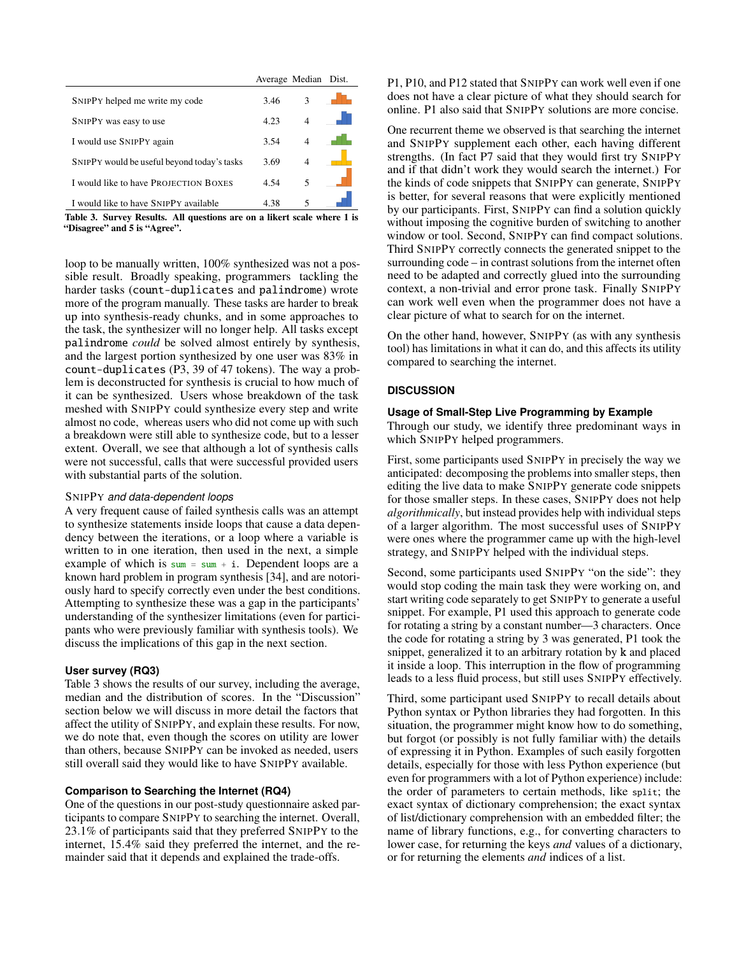|                                             | Average Median Dist. |                |  |
|---------------------------------------------|----------------------|----------------|--|
| SNIPPY helped me write my code              | 3.46                 | $\mathcal{E}$  |  |
| SNIPPY was easy to use                      | 4.23                 |                |  |
| I would use SNIPPY again                    | 3.54                 | $\overline{4}$ |  |
| SNIPPY would be useful beyond today's tasks | 3.69                 |                |  |
| I would like to have PROJECTION BOXES       | 4.54                 | 5              |  |
| I would like to have SNIPPY available       | 4.38                 | 5              |  |
|                                             |                      |                |  |

<span id="page-8-0"></span>Table 3. Survey Results. All questions are on a likert scale where 1 is "Disagree" and 5 is "Agree".

loop to be manually written, 100% synthesized was not a possible result. Broadly speaking, programmers tackling the harder tasks (count-duplicates and palindrome) wrote more of the program manually. These tasks are harder to break up into synthesis-ready chunks, and in some approaches to the task, the synthesizer will no longer help. All tasks except palindrome *could* be solved almost entirely by synthesis, and the largest portion synthesized by one user was 83% in count-duplicates (P3, 39 of 47 tokens). The way a problem is deconstructed for synthesis is crucial to how much of it can be synthesized. Users whose breakdown of the task meshed with SNIPPY could synthesize every step and write almost no code, whereas users who did not come up with such a breakdown were still able to synthesize code, but to a lesser extent. Overall, we see that although a lot of synthesis calls were not successful, calls that were successful provided users with substantial parts of the solution.

# SNIPPY *and data-dependent loops*

A very frequent cause of failed synthesis calls was an attempt to synthesize statements inside loops that cause a data dependency between the iterations, or a loop where a variable is written to in one iteration, then used in the next, a simple example of which is  $sum = sum + i$ . Dependent loops are a known hard problem in program synthesis [\[34\]](#page-12-16), and are notoriously hard to specify correctly even under the best conditions. Attempting to synthesize these was a gap in the participants' understanding of the synthesizer limitations (even for participants who were previously familiar with synthesis tools). We discuss the implications of this gap in the next section.

# **User survey (RQ3)**

Table [3](#page-8-0) shows the results of our survey, including the average, median and the distribution of scores. In the "Discussion" section below we will discuss in more detail the factors that affect the utility of SNIPPY, and explain these results. For now, we do note that, even though the scores on utility are lower than others, because SNIPPY can be invoked as needed, users still overall said they would like to have SNIPPY available.

# **Comparison to Searching the Internet (RQ4)**

One of the questions in our post-study questionnaire asked participants to compare SNIPPY to searching the internet. Overall, 23.1% of participants said that they preferred SNIPPY to the internet, 15.4% said they preferred the internet, and the remainder said that it depends and explained the trade-offs.

P1, P10, and P12 stated that SNIPPY can work well even if one does not have a clear picture of what they should search for online. P1 also said that SNIPPY solutions are more concise.

One recurrent theme we observed is that searching the internet and SNIPPY supplement each other, each having different strengths. (In fact P7 said that they would frst try SNIPPY and if that didn't work they would search the internet.) For the kinds of code snippets that SNIPPY can generate, SNIPPY is better, for several reasons that were explicitly mentioned by our participants. First, SNIPPY can fnd a solution quickly without imposing the cognitive burden of switching to another window or tool. Second, SNIPPY can fnd compact solutions. Third SNIPPY correctly connects the generated snippet to the surrounding code – in contrast solutions from the internet often need to be adapted and correctly glued into the surrounding context, a non-trivial and error prone task. Finally SNIPPY can work well even when the programmer does not have a clear picture of what to search for on the internet.

On the other hand, however, SNIPPY (as with any synthesis tool) has limitations in what it can do, and this affects its utility compared to searching the internet.

# **DISCUSSION**

# **Usage of Small-Step Live Programming by Example**

Through our study, we identify three predominant ways in which SNIPPY helped programmers.

First, some participants used SNIPPY in precisely the way we anticipated: decomposing the problems into smaller steps, then editing the live data to make SNIPPY generate code snippets for those smaller steps. In these cases, SNIPPY does not help *algorithmically*, but instead provides help with individual steps of a larger algorithm. The most successful uses of SNIPPY were ones where the programmer came up with the high-level strategy, and SNIPPY helped with the individual steps.

Second, some participants used SNIPPY "on the side": they would stop coding the main task they were working on, and start writing code separately to get SNIPPY to generate a useful snippet. For example, P1 used this approach to generate code for rotating a string by a constant number—3 characters. Once the code for rotating a string by 3 was generated, P1 took the snippet, generalized it to an arbitrary rotation by k and placed it inside a loop. This interruption in the fow of programming leads to a less fuid process, but still uses SNIPPY effectively.

Third, some participant used SNIPPY to recall details about Python syntax or Python libraries they had forgotten. In this situation, the programmer might know how to do something, but forgot (or possibly is not fully familiar with) the details of expressing it in Python. Examples of such easily forgotten details, especially for those with less Python experience (but even for programmers with a lot of Python experience) include: the order of parameters to certain methods, like split; the exact syntax of dictionary comprehension; the exact syntax of list/dictionary comprehension with an embedded flter; the name of library functions, e.g., for converting characters to lower case, for returning the keys *and* values of a dictionary, or for returning the elements *and* indices of a list.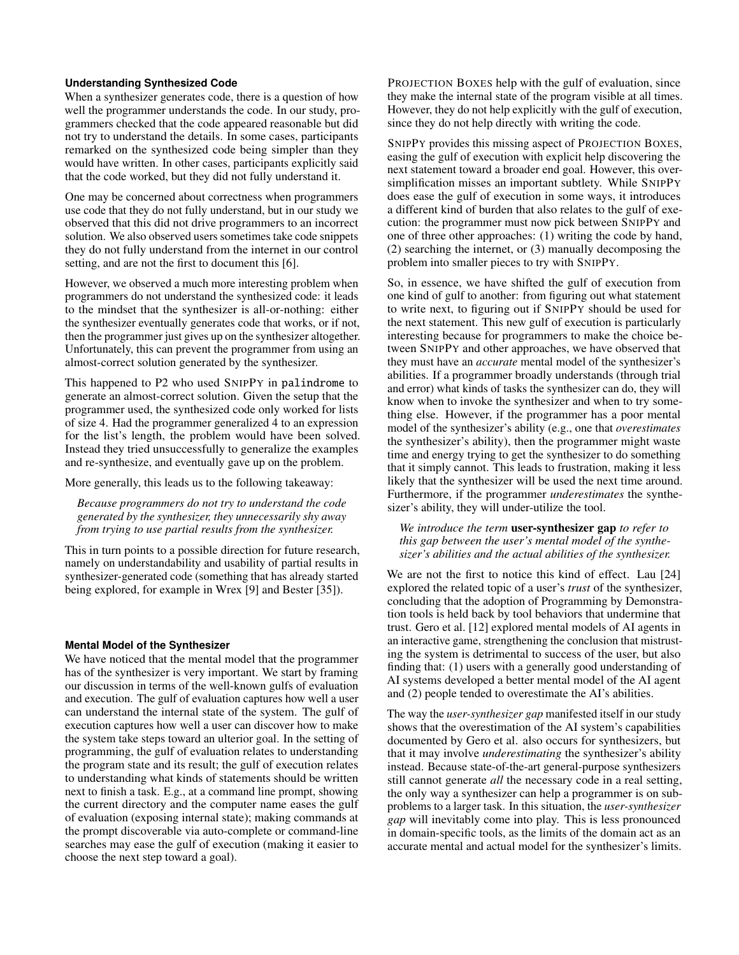#### **Understanding Synthesized Code**

When a synthesizer generates code, there is a question of how well the programmer understands the code. In our study, programmers checked that the code appeared reasonable but did not try to understand the details. In some cases, participants remarked on the synthesized code being simpler than they would have written. In other cases, participants explicitly said that the code worked, but they did not fully understand it.

One may be concerned about correctness when programmers use code that they do not fully understand, but in our study we observed that this did not drive programmers to an incorrect solution. We also observed users sometimes take code snippets they do not fully understand from the internet in our control setting, and are not the frst to document this [\[6\]](#page-10-8).

However, we observed a much more interesting problem when programmers do not understand the synthesized code: it leads to the mindset that the synthesizer is all-or-nothing: either the synthesizer eventually generates code that works, or if not, then the programmer just gives up on the synthesizer altogether. Unfortunately, this can prevent the programmer from using an almost-correct solution generated by the synthesizer.

This happened to P2 who used SNIPPY in palindrome to generate an almost-correct solution. Given the setup that the programmer used, the synthesized code only worked for lists of size 4. Had the programmer generalized 4 to an expression for the list's length, the problem would have been solved. Instead they tried unsuccessfully to generalize the examples and re-synthesize, and eventually gave up on the problem.

More generally, this leads us to the following takeaway:

*Because programmers do not try to understand the code generated by the synthesizer, they unnecessarily shy away from trying to use partial results from the synthesizer.* 

This in turn points to a possible direction for future research, namely on understandability and usability of partial results in synthesizer-generated code (something that has already started being explored, for example in Wrex [\[9\]](#page-10-5) and Bester [\[35\]](#page-12-11)).

#### **Mental Model of the Synthesizer**

We have noticed that the mental model that the programmer has of the synthesizer is very important. We start by framing our discussion in terms of the well-known gulfs of evaluation and execution. The gulf of evaluation captures how well a user can understand the internal state of the system. The gulf of execution captures how well a user can discover how to make the system take steps toward an ulterior goal. In the setting of programming, the gulf of evaluation relates to understanding the program state and its result; the gulf of execution relates to understanding what kinds of statements should be written next to fnish a task. E.g., at a command line prompt, showing the current directory and the computer name eases the gulf of evaluation (exposing internal state); making commands at the prompt discoverable via auto-complete or command-line searches may ease the gulf of execution (making it easier to choose the next step toward a goal).

PROJECTION BOXES help with the gulf of evaluation, since they make the internal state of the program visible at all times. However, they do not help explicitly with the gulf of execution, since they do not help directly with writing the code.

SNIPPY provides this missing aspect of PROJECTION BOXES, easing the gulf of execution with explicit help discovering the next statement toward a broader end goal. However, this oversimplifcation misses an important subtlety. While SNIPPY does ease the gulf of execution in some ways, it introduces a different kind of burden that also relates to the gulf of execution: the programmer must now pick between SNIPPY and one of three other approaches: (1) writing the code by hand, (2) searching the internet, or (3) manually decomposing the problem into smaller pieces to try with SNIPPY.

So, in essence, we have shifted the gulf of execution from one kind of gulf to another: from fguring out what statement to write next, to fguring out if SNIPPY should be used for the next statement. This new gulf of execution is particularly interesting because for programmers to make the choice between SNIPPY and other approaches, we have observed that they must have an *accurate* mental model of the synthesizer's abilities. If a programmer broadly understands (through trial and error) what kinds of tasks the synthesizer can do, they will know when to invoke the synthesizer and when to try something else. However, if the programmer has a poor mental model of the synthesizer's ability (e.g., one that *overestimates*  the synthesizer's ability), then the programmer might waste time and energy trying to get the synthesizer to do something that it simply cannot. This leads to frustration, making it less likely that the synthesizer will be used the next time around. Furthermore, if the programmer *underestimates* the synthesizer's ability, they will under-utilize the tool.

*We introduce the term* user-synthesizer gap *to refer to this gap between the user's mental model of the synthesizer's abilities and the actual abilities of the synthesizer.* 

We are not the first to notice this kind of effect. Lau [\[24\]](#page-11-18) explored the related topic of a user's *trust* of the synthesizer, concluding that the adoption of Programming by Demonstration tools is held back by tool behaviors that undermine that trust. Gero et al. [\[12\]](#page-11-19) explored mental models of AI agents in an interactive game, strengthening the conclusion that mistrusting the system is detrimental to success of the user, but also fnding that: (1) users with a generally good understanding of AI systems developed a better mental model of the AI agent and (2) people tended to overestimate the AI's abilities.

The way the *user-synthesizer gap* manifested itself in our study shows that the overestimation of the AI system's capabilities documented by Gero et al. also occurs for synthesizers, but that it may involve *underestimating* the synthesizer's ability instead. Because state-of-the-art general-purpose synthesizers still cannot generate *all* the necessary code in a real setting, the only way a synthesizer can help a programmer is on subproblems to a larger task. In this situation, the *user-synthesizer gap* will inevitably come into play. This is less pronounced in domain-specifc tools, as the limits of the domain act as an accurate mental and actual model for the synthesizer's limits.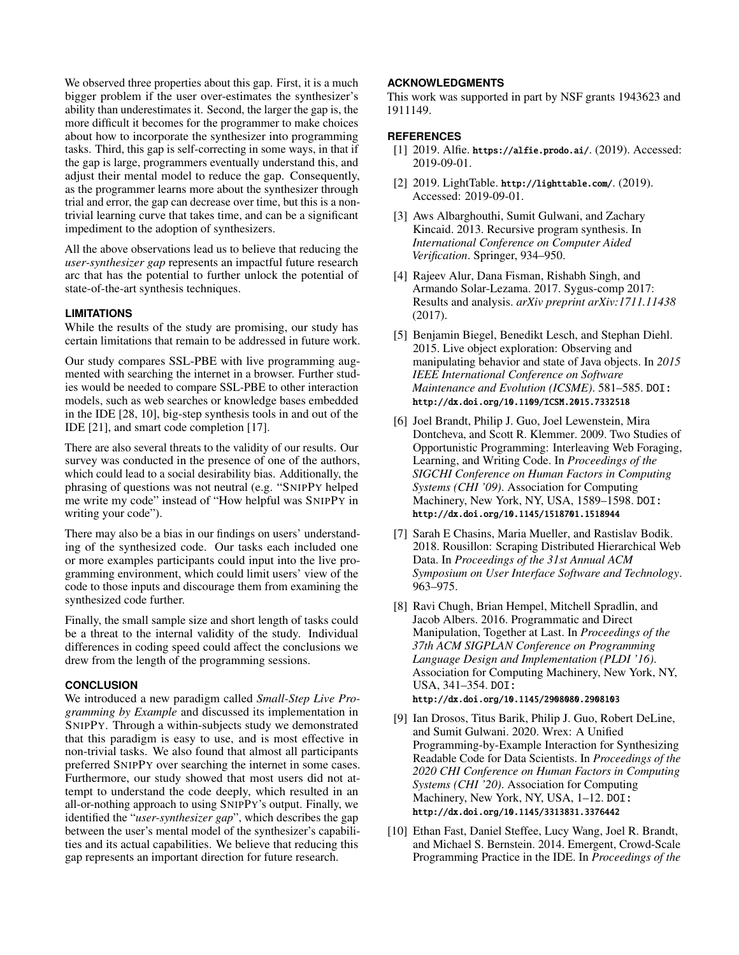We observed three properties about this gap. First, it is a much bigger problem if the user over-estimates the synthesizer's ability than underestimates it. Second, the larger the gap is, the more difficult it becomes for the programmer to make choices about how to incorporate the synthesizer into programming tasks. Third, this gap is self-correcting in some ways, in that if the gap is large, programmers eventually understand this, and adjust their mental model to reduce the gap. Consequently, as the programmer learns more about the synthesizer through trial and error, the gap can decrease over time, but this is a nontrivial learning curve that takes time, and can be a signifcant impediment to the adoption of synthesizers.

All the above observations lead us to believe that reducing the *user-synthesizer gap* represents an impactful future research arc that has the potential to further unlock the potential of state-of-the-art synthesis techniques.

### **LIMITATIONS**

While the results of the study are promising, our study has certain limitations that remain to be addressed in future work.

Our study compares SSL-PBE with live programming augmented with searching the internet in a browser. Further studies would be needed to compare SSL-PBE to other interaction models, such as web searches or knowledge bases embedded in the IDE [\[28,](#page-11-20) [10\]](#page-10-9), big-step synthesis tools in and out of the IDE [\[21\]](#page-11-14), and smart code completion [\[17\]](#page-11-15).

There are also several threats to the validity of our results. Our survey was conducted in the presence of one of the authors, which could lead to a social desirability bias. Additionally, the phrasing of questions was not neutral (e.g. "SNIPPY helped me write my code" instead of "How helpful was SNIPPY in writing your code").

There may also be a bias in our fndings on users' understanding of the synthesized code. Our tasks each included one or more examples participants could input into the live programming environment, which could limit users' view of the code to those inputs and discourage them from examining the synthesized code further.

Finally, the small sample size and short length of tasks could be a threat to the internal validity of the study. Individual differences in coding speed could affect the conclusions we drew from the length of the programming sessions.

### **CONCLUSION**

We introduced a new paradigm called *Small-Step Live Programming by Example* and discussed its implementation in SNIPPY. Through a within-subjects study we demonstrated that this paradigm is easy to use, and is most effective in non-trivial tasks. We also found that almost all participants preferred SNIPPY over searching the internet in some cases. Furthermore, our study showed that most users did not attempt to understand the code deeply, which resulted in an all-or-nothing approach to using SNIPPY's output. Finally, we identifed the "*user-synthesizer gap*", which describes the gap between the user's mental model of the synthesizer's capabilities and its actual capabilities. We believe that reducing this gap represents an important direction for future research.

### **ACKNOWLEDGMENTS**

This work was supported in part by NSF grants 1943623 and 1911149.

#### <span id="page-10-2"></span>**REFERENCES**

- [1] 2019. Alfie. <https://alfie.prodo.ai/>. (2019). Accessed: 2019-09-01.
- <span id="page-10-3"></span>[2] 2019. LightTable. <http://lighttable.com/>. (2019). Accessed: 2019-09-01.
- <span id="page-10-6"></span>[3] Aws Albarghouthi, Sumit Gulwani, and Zachary Kincaid. 2013. Recursive program synthesis. In *International Conference on Computer Aided Verifcation*. Springer, 934–950.
- <span id="page-10-7"></span>[4] Rajeev Alur, Dana Fisman, Rishabh Singh, and Armando Solar-Lezama. 2017. Sygus-comp 2017: Results and analysis. *arXiv preprint arXiv:1711.11438*  (2017).
- <span id="page-10-1"></span>[5] Benjamin Biegel, Benedikt Lesch, and Stephan Diehl. 2015. Live object exploration: Observing and manipulating behavior and state of Java objects. In *2015 IEEE International Conference on Software Maintenance and Evolution (ICSME)*. 581–585. DOI: <http://dx.doi.org/10.1109/ICSM.2015.7332518>
- <span id="page-10-8"></span>[6] Joel Brandt, Philip J. Guo, Joel Lewenstein, Mira Dontcheva, and Scott R. Klemmer. 2009. Two Studies of Opportunistic Programming: Interleaving Web Foraging, Learning, and Writing Code. In *Proceedings of the SIGCHI Conference on Human Factors in Computing Systems (CHI '09)*. Association for Computing Machinery, New York, NY, USA, 1589–1598. DOI: <http://dx.doi.org/10.1145/1518701.1518944>
- <span id="page-10-4"></span>[7] Sarah E Chasins, Maria Mueller, and Rastislav Bodik. 2018. Rousillon: Scraping Distributed Hierarchical Web Data. In *Proceedings of the 31st Annual ACM Symposium on User Interface Software and Technology*. 963–975.
- <span id="page-10-0"></span>[8] Ravi Chugh, Brian Hempel, Mitchell Spradlin, and Jacob Albers. 2016. Programmatic and Direct Manipulation, Together at Last. In *Proceedings of the 37th ACM SIGPLAN Conference on Programming Language Design and Implementation (PLDI '16)*. Association for Computing Machinery, New York, NY, USA, 341–354. DOI: <http://dx.doi.org/10.1145/2908080.2908103>
- <span id="page-10-5"></span>[9] Ian Drosos, Titus Barik, Philip J. Guo, Robert DeLine, and Sumit Gulwani. 2020. Wrex: A Unifed Programming-by-Example Interaction for Synthesizing Readable Code for Data Scientists. In *Proceedings of the 2020 CHI Conference on Human Factors in Computing Systems (CHI '20)*. Association for Computing Machinery, New York, NY, USA, 1–12. DOI: <http://dx.doi.org/10.1145/3313831.3376442>
- <span id="page-10-9"></span>[10] Ethan Fast, Daniel Steffee, Lucy Wang, Joel R. Brandt, and Michael S. Bernstein. 2014. Emergent, Crowd-Scale Programming Practice in the IDE. In *Proceedings of the*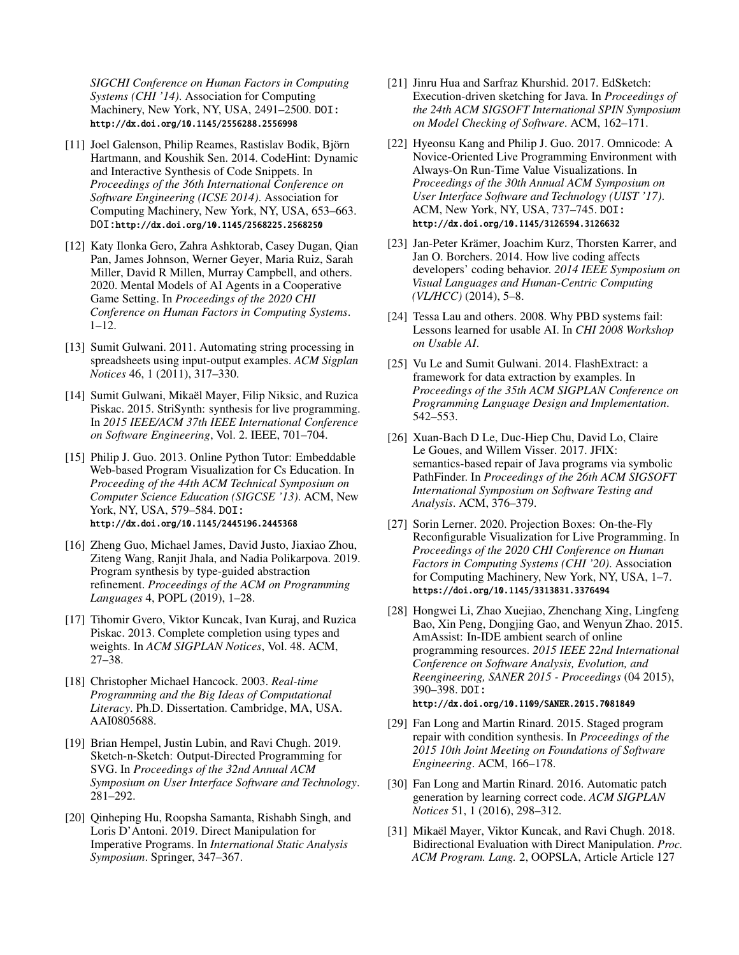*SIGCHI Conference on Human Factors in Computing Systems (CHI '14)*. Association for Computing Machinery, New York, NY, USA, 2491–2500. DOI: <http://dx.doi.org/10.1145/2556288.2556998>

- <span id="page-11-13"></span>[11] Joel Galenson, Philip Reames, Rastislav Bodik, Björn Hartmann, and Koushik Sen. 2014. CodeHint: Dynamic and Interactive Synthesis of Code Snippets. In *Proceedings of the 36th International Conference on Software Engineering (ICSE 2014)*. Association for Computing Machinery, New York, NY, USA, 653–663. DOI:<http://dx.doi.org/10.1145/2568225.2568250>
- <span id="page-11-19"></span>[12] Katy Ilonka Gero, Zahra Ashktorab, Casey Dugan, Qian Pan, James Johnson, Werner Geyer, Maria Ruiz, Sarah Miller, David R Millen, Murray Campbell, and others. 2020. Mental Models of AI Agents in a Cooperative Game Setting. In *Proceedings of the 2020 CHI Conference on Human Factors in Computing Systems*. 1–12.
- <span id="page-11-7"></span>[13] Sumit Gulwani. 2011. Automating string processing in spreadsheets using input-output examples. *ACM Sigplan Notices* 46, 1 (2011), 317–330.
- <span id="page-11-8"></span>[14] Sumit Gulwani, Mikaël Mayer, Filip Niksic, and Ruzica Piskac. 2015. StriSynth: synthesis for live programming. In *2015 IEEE/ACM 37th IEEE International Conference on Software Engineering*, Vol. 2. IEEE, 701–704.
- <span id="page-11-4"></span>[15] Philip J. Guo. 2013. Online Python Tutor: Embeddable Web-based Program Visualization for Cs Education. In *Proceeding of the 44th ACM Technical Symposium on Computer Science Education (SIGCSE '13)*. ACM, New York, NY, USA, 579–584. DOI: <http://dx.doi.org/10.1145/2445196.2445368>
- <span id="page-11-17"></span>[16] Zheng Guo, Michael James, David Justo, Jiaxiao Zhou, Ziteng Wang, Ranjit Jhala, and Nadia Polikarpova. 2019. Program synthesis by type-guided abstraction refnement. *Proceedings of the ACM on Programming Languages* 4, POPL (2019), 1–28.
- <span id="page-11-15"></span>[17] Tihomir Gvero, Viktor Kuncak, Ivan Kuraj, and Ruzica Piskac. 2013. Complete completion using types and weights. In *ACM SIGPLAN Notices*, Vol. 48. ACM, 27–38.
- <span id="page-11-3"></span>[18] Christopher Michael Hancock. 2003. *Real-time Programming and the Big Ideas of Computational Literacy*. Ph.D. Dissertation. Cambridge, MA, USA. AAI0805688.
- <span id="page-11-1"></span>[19] Brian Hempel, Justin Lubin, and Ravi Chugh. 2019. Sketch-n-Sketch: Output-Directed Programming for SVG. In *Proceedings of the 32nd Annual ACM Symposium on User Interface Software and Technology*. 281–292.
- <span id="page-11-16"></span>[20] Oinheping Hu, Roopsha Samanta, Rishabh Singh, and Loris D'Antoni. 2019. Direct Manipulation for Imperative Programs. In *International Static Analysis Symposium*. Springer, 347–367.
- <span id="page-11-14"></span>[21] Jinru Hua and Sarfraz Khurshid. 2017. EdSketch: Execution-driven sketching for Java. In *Proceedings of the 24th ACM SIGSOFT International SPIN Symposium on Model Checking of Software*. ACM, 162–171.
- <span id="page-11-5"></span>[22] Hyeonsu Kang and Philip J. Guo. 2017. Omnicode: A Novice-Oriented Live Programming Environment with Always-On Run-Time Value Visualizations. In *Proceedings of the 30th Annual ACM Symposium on User Interface Software and Technology (UIST '17)*. ACM, New York, NY, USA, 737–745. DOI: <http://dx.doi.org/10.1145/3126594.3126632>
- <span id="page-11-6"></span>[23] Jan-Peter Krämer, Joachim Kurz, Thorsten Karrer, and Jan O. Borchers. 2014. How live coding affects developers' coding behavior. *2014 IEEE Symposium on Visual Languages and Human-Centric Computing (VL/HCC)* (2014), 5–8.
- <span id="page-11-18"></span>[24] Tessa Lau and others. 2008. Why PBD systems fail: Lessons learned for usable AI. In *CHI 2008 Workshop on Usable AI*.
- <span id="page-11-9"></span>[25] Vu Le and Sumit Gulwani. 2014. FlashExtract: a framework for data extraction by examples. In *Proceedings of the 35th ACM SIGPLAN Conference on Programming Language Design and Implementation*. 542–553.
- <span id="page-11-12"></span>[26] Xuan-Bach D Le, Duc-Hiep Chu, David Lo, Claire Le Goues, and Willem Visser. 2017. JFIX: semantics-based repair of Java programs via symbolic PathFinder. In *Proceedings of the 26th ACM SIGSOFT International Symposium on Software Testing and Analysis*. ACM, 376–379.
- <span id="page-11-2"></span>[27] Sorin Lerner. 2020. Projection Boxes: On-the-Fly Reconfgurable Visualization for Live Programming. In *Proceedings of the 2020 CHI Conference on Human Factors in Computing Systems (CHI '20)*. Association for Computing Machinery, New York, NY, USA, 1–7. <https://doi.org/10.1145/3313831.3376494>
- <span id="page-11-20"></span>[28] Hongwei Li, Zhao Xuejiao, Zhenchang Xing, Lingfeng Bao, Xin Peng, Dongjing Gao, and Wenyun Zhao. 2015. AmAssist: In-IDE ambient search of online programming resources. *2015 IEEE 22nd International Conference on Software Analysis, Evolution, and Reengineering, SANER 2015 - Proceedings* (04 2015), 390–398. DOI:

### <http://dx.doi.org/10.1109/SANER.2015.7081849>

- <span id="page-11-10"></span>[29] Fan Long and Martin Rinard. 2015. Staged program repair with condition synthesis. In *Proceedings of the 2015 10th Joint Meeting on Foundations of Software Engineering*. ACM, 166–178.
- <span id="page-11-11"></span>[30] Fan Long and Martin Rinard. 2016. Automatic patch generation by learning correct code. *ACM SIGPLAN Notices* 51, 1 (2016), 298–312.
- <span id="page-11-0"></span>[31] Mikaël Mayer, Viktor Kuncak, and Ravi Chugh. 2018. Bidirectional Evaluation with Direct Manipulation. *Proc. ACM Program. Lang.* 2, OOPSLA, Article Article 127